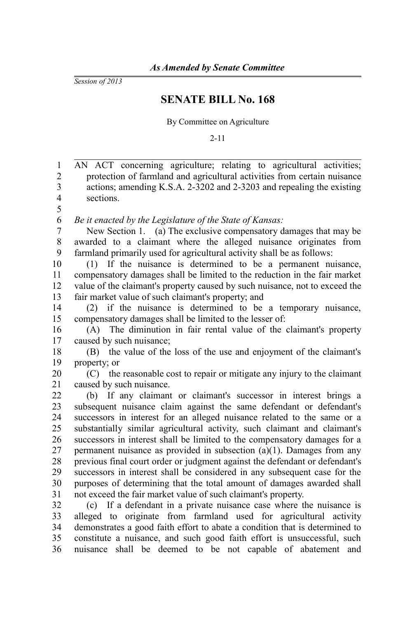*Session of 2013*

## **SENATE BILL No. 168**

By Committee on Agriculture

2-11

| $\mathbf{1}$   | AN ACT concerning agriculture; relating to agricultural activities;         |
|----------------|-----------------------------------------------------------------------------|
| $\mathfrak{2}$ | protection of farmland and agricultural activities from certain nuisance    |
| 3              | actions; amending K.S.A. 2-3202 and 2-3203 and repealing the existing       |
| $\overline{4}$ | sections.                                                                   |
| 5              |                                                                             |
| 6              | Be it enacted by the Legislature of the State of Kansas:                    |
| $\overline{7}$ | New Section 1. (a) The exclusive compensatory damages that may be           |
| 8              | awarded to a claimant where the alleged nuisance originates from            |
| 9              | farmland primarily used for agricultural activity shall be as follows:      |
| 10             | (1) If the nuisance is determined to be a permanent nuisance,               |
| 11             | compensatory damages shall be limited to the reduction in the fair market   |
| 12             | value of the claimant's property caused by such nuisance, not to exceed the |
| 13             | fair market value of such claimant's property; and                          |
| 14             | (2) if the nuisance is determined to be a temporary nuisance,               |
| 15             | compensatory damages shall be limited to the lesser of:                     |
| 16             | The diminution in fair rental value of the claimant's property<br>(A)       |
| 17             | caused by such nuisance;                                                    |
| 18             | the value of the loss of the use and enjoyment of the claimant's<br>(B)     |
| 19             | property; or                                                                |
| 20             | (C) the reasonable cost to repair or mitigate any injury to the claimant    |
| 21             | caused by such nuisance.                                                    |
| 22             | (b) If any claimant or claimant's successor in interest brings a            |
| 23             | subsequent nuisance claim against the same defendant or defendant's         |
| 24             | successors in interest for an alleged nuisance related to the same or a     |
| 25             | substantially similar agricultural activity, such claimant and claimant's   |
| 26             | successors in interest shall be limited to the compensatory damages for a   |
| 27             | permanent nuisance as provided in subsection $(a)(1)$ . Damages from any    |
| 28             | previous final court order or judgment against the defendant or defendant's |
| 29             | successors in interest shall be considered in any subsequent case for the   |
| 30             | purposes of determining that the total amount of damages awarded shall      |
| 31             | not exceed the fair market value of such claimant's property.               |
| 32             | (c) If a defendant in a private nuisance case where the nuisance is         |
| 33             | alleged to originate from farmland used for agricultural<br>activity        |
| 34             | demonstrates a good faith effort to abate a condition that is determined to |
| 35             | constitute a nuisance, and such good faith effort is unsuccessful, such     |
| 36             | nuisance shall be deemed to be not capable of abatement and                 |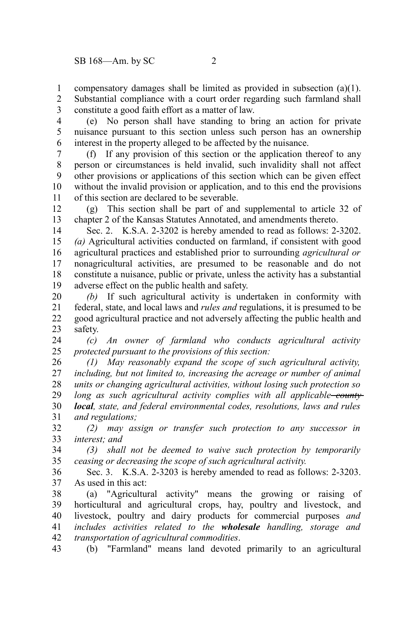compensatory damages shall be limited as provided in subsection (a)(1). 1

Substantial compliance with a court order regarding such farmland shall constitute a good faith effort as a matter of law. 2 3

(e) No person shall have standing to bring an action for private nuisance pursuant to this section unless such person has an ownership interest in the property alleged to be affected by the nuisance. 4 5 6

(f) If any provision of this section or the application thereof to any person or circumstances is held invalid, such invalidity shall not affect other provisions or applications of this section which can be given effect without the invalid provision or application, and to this end the provisions of this section are declared to be severable. 7 8 9 10 11

(g) This section shall be part of and supplemental to article 32 of chapter 2 of the Kansas Statutes Annotated, and amendments thereto. 12 13

Sec. 2. K.S.A. 2-3202 is hereby amended to read as follows: 2-3202. *(a)* Agricultural activities conducted on farmland, if consistent with good agricultural practices and established prior to surrounding *agricultural or* nonagricultural activities, are presumed to be reasonable and do not constitute a nuisance, public or private, unless the activity has a substantial adverse effect on the public health and safety. 14 15 16 17 18 19

*(b)* If such agricultural activity is undertaken in conformity with federal, state, and local laws and *rules and* regulations, it is presumed to be good agricultural practice and not adversely affecting the public health and safety. 20 21 22 23

*(c) An owner of farmland who conducts agricultural activity protected pursuant to the provisions of this section:* 24 25

*(1) May reasonably expand the scope of such agricultural activity, including, but not limited to, increasing the acreage or number of animal units or changing agricultural activities, without losing such protection so long as such agricultural activity complies with all applicable county local, state, and federal environmental codes, resolutions, laws and rules and regulations;* 26 27 28 29 30 31

*(2) may assign or transfer such protection to any successor in interest; and* 32 33

*(3) shall not be deemed to waive such protection by temporarily ceasing or decreasing the scope of such agricultural activity.* 34 35

Sec. 3. K.S.A. 2-3203 is hereby amended to read as follows: 2-3203. As used in this act: 36 37

(a) "Agricultural activity" means the growing or raising of horticultural and agricultural crops, hay, poultry and livestock, and livestock, poultry and dairy products for commercial purposes *and includes activities related to the wholesale handling, storage and transportation of agricultural commodities*. 38 39 40 41 42

(b) "Farmland" means land devoted primarily to an agricultural 43